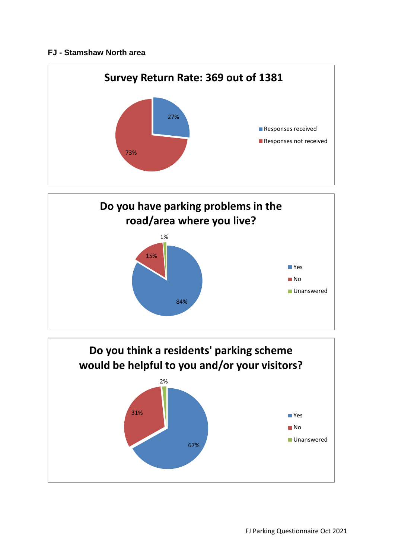## **FJ - Stamshaw North area**





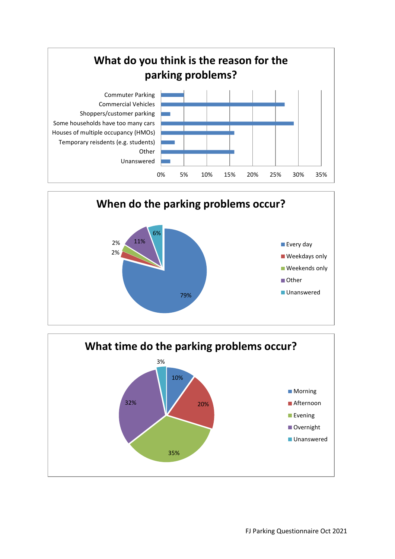



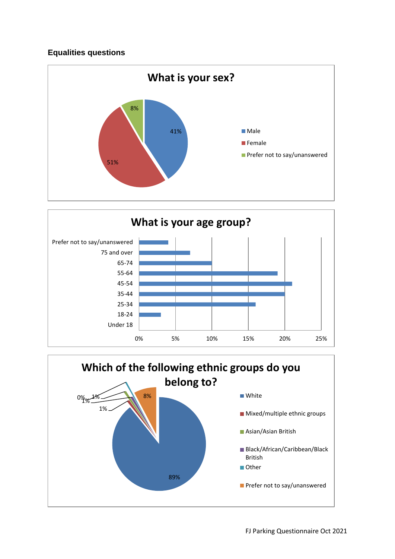## **Equalities questions**





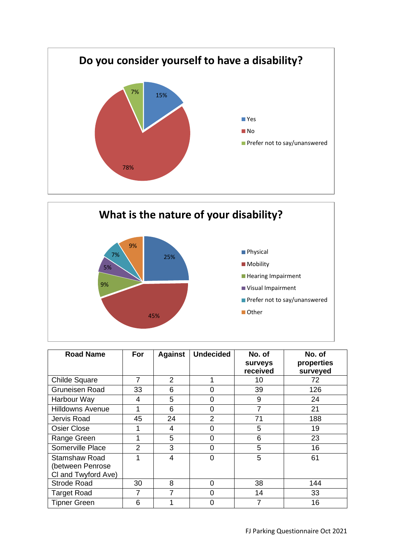



| <b>Road Name</b>                                         | For            | <b>Against</b> | <b>Undecided</b> | No. of<br>surveys<br>received | No. of<br>properties<br>surveyed |
|----------------------------------------------------------|----------------|----------------|------------------|-------------------------------|----------------------------------|
| Childe Square                                            | 7              | 2              |                  | 10                            | 72                               |
| <b>Gruneisen Road</b>                                    | 33             | 6              | 0                | 39                            | 126                              |
| Harbour Way                                              | 4              | 5              | ი                | 9                             | 24                               |
| <b>Hilldowns Avenue</b>                                  | 1              | 6              | 0                | 7                             | 21                               |
| Jervis Road                                              | 45             | 24             | $\mathcal{P}$    | 71                            | 188                              |
| Osier Close                                              | 1              | 4              | 0                | 5                             | 19                               |
| Range Green                                              | 1              | 5              | ი                | 6                             | 23                               |
| Somerville Place                                         | $\overline{2}$ | 3              | 0                | 5                             | 16                               |
| Stamshaw Road<br>(between Penrose<br>CI and Twyford Ave) | 1              | 4              | 0                | 5                             | 61                               |
| <b>Strode Road</b>                                       | 30             | 8              | 0                | 38                            | 144                              |
| <b>Target Road</b>                                       | 7              |                | 0                | 14                            | 33                               |
| <b>Tipner Green</b>                                      | 6              |                | ∩                |                               | 16                               |